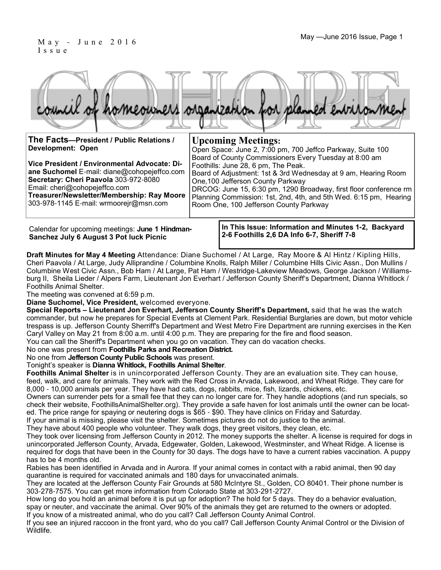### May - June 2016 Issue, Page 1 I s s u e

|  |  |  | council of homeowners organization for planned environment |
|--|--|--|------------------------------------------------------------|

**Upcoming Meetings:**

Foothills: June 28, 6 pm, The Peak.

One,100 Jefferson County Parkway

Room One, 100 Jefferson County Parkway

**The Facts—President / Public Relations / Development: Open**

**Vice President / Environmental Advocate: Diane Suchomel** E-mail: diane@cohopejeffco.com **Secretary: Cheri Paavola** 303-972-8080 Email: cheri@cohopejeffco.com **Treasurer/Newsletter/Membership: Ray Moore**  303-978-1145 E-mail: wrmoorejr@msn.com

Calendar for upcoming meetings: **June 1 Hindman-Sanchez July 6 August 3 Pot luck Picnic**

**In This Issue: Information and Minutes 1-2, Backyard 2-6 Foothills 2,6 DA Info 6-7, Sheriff 7-8** 

Open Space: June 2, 7:00 pm, 700 Jeffco Parkway, Suite 100 Board of County Commissioners Every Tuesday at 8:00 am

Board of Adjustment: 1st & 3rd Wednesday at 9 am, Hearing Room

DRCOG: June 15, 6:30 pm, 1290 Broadway, first floor conference rm Planning Commission: 1st, 2nd, 4th, and 5th Wed. 6:15 pm, Hearing

**Draft Minutes for May 4 Meeting** Attendance: Diane Suchomel / At Large, Ray Moore & Al Hintz / Kipling Hills, Cheri Paavola / At Large, Judy Alliprandine / Columbine Knolls, Ralph Miller / Columbine Hills Civic Assn., Don Mullins / Columbine West Civic Assn., Bob Ham / At Large, Pat Ham / Westridge-Lakeview Meadows, George Jackson / Williamsburg II, Sheila Lieder / Alpers Farm, Lieutenant Jon Everhart / Jefferson County Sheriff's Department, Dianna Whitlock / Foothills Animal Shelter.

The meeting was convened at 6:59 p.m.

**Diane Suchomel, Vice President,** welcomed everyone.

**Special Reports – Lieutenant Jon Everhart, Jefferson County Sheriff's Department,** said that he was the watch commander, but now he prepares for Special Events at Clement Park. Residential Burglaries are down, but motor vehicle trespass is up. Jefferson County Sherriff's Department and West Metro Fire Department are running exercises in the Ken Caryl Valley on May 21 from 8:00 a.m. until 4:00 p.m. They are preparing for the fire and flood season. You can call the Sheriff's Department when you go on vacation. They can do vacation checks.

No one was present from **Foothills Parks and Recreation District.** 

No one from **Jefferson County Public Schools** was present.

Tonight's speaker is **Dianna Whitlock, Foothills Animal Shelter**.

**Foothills Animal Shelter** is in unincorporated Jefferson County. They are an evaluation site. They can house, feed, walk, and care for animals. They work with the Red Cross in Arvada, Lakewood, and Wheat Ridge. They care for 8,000 - 10,000 animals per year. They have had cats, dogs, rabbits, mice, fish, lizards, chickens, etc.

Owners can surrender pets for a small fee that they can no longer care for. They handle adoptions (and run specials, so check their website, FoothillsAnimalShelter.org). They provide a safe haven for lost animals until the owner can be located. The price range for spaying or neutering dogs is \$65 - \$90. They have clinics on Friday and Saturday.

If your animal is missing, please visit the shelter. Sometimes pictures do not do justice to the animal.

They have about 400 people who volunteer. They walk dogs, they greet visitors, they clean, etc.

They took over licensing from Jefferson County in 2012. The money supports the shelter. A license is required for dogs in unincorporated Jefferson County, Arvada, Edgewater, Golden, Lakewood, Westminster, and Wheat Ridge. A license is required for dogs that have been in the County for 30 days. The dogs have to have a current rabies vaccination. A puppy has to be 4 months old.

Rabies has been identified in Arvada and in Aurora. If your animal comes in contact with a rabid animal, then 90 day quarantine is required for vaccinated animals and 180 days for unvaccinated animals.

They are located at the Jefferson County Fair Grounds at 580 McIntyre St., Golden, CO 80401. Their phone number is 303-278-7575. You can get more information from Colorado State at 303-291-2727.

How long do you hold an animal before it is put up for adoption? The hold for 5 days. They do a behavior evaluation, spay or neuter, and vaccinate the animal. Over 90% of the animals they get are returned to the owners or adopted. If you know of a mistreated animal, who do you call? Call Jefferson County Animal Control.

If you see an injured raccoon in the front yard, who do you call? Call Jefferson County Animal Control or the Division of Wildlife.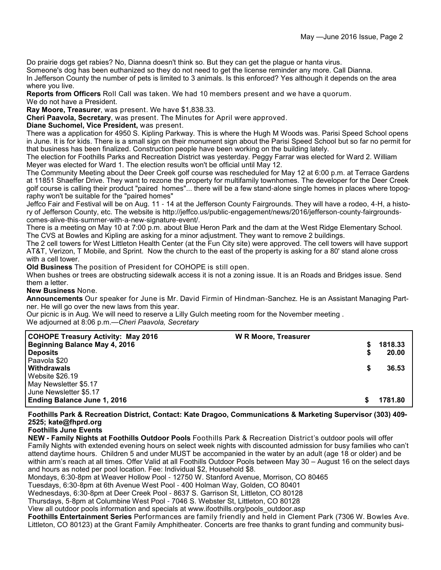Do prairie dogs get rabies? No, Dianna doesn't think so. But they can get the plague or hanta virus.

Someone's dog has been euthanized so they do not need to get the license reminder any more. Call Dianna. In Jefferson County the number of pets is limited to 3 animals. Is this enforced? Yes although it depends on the area where you live.

**Reports from Officers** Roll Call was taken. We had 10 members present and we have a quorum.

We do not have a President.

**Ray Moore, Treasurer**, was present. We have \$1,838.33.

**Cheri Paavola, Secretary**, was present. The Minutes for April were approved.

**Diane Suchomel, Vice President,** was present.

There was a application for 4950 S. Kipling Parkway. This is where the Hugh M Woods was. Parisi Speed School opens in June. It is for kids. There is a small sign on their monument sign about the Parisi Speed School but so far no permit for that business has been finalized. Construction people have been working on the building lately.

The election for Foothills Parks and Recreation District was yesterday. Peggy Farrar was elected for Ward 2. William Meyer was elected for Ward 1. The election results won't be official until May 12.

The Community Meeting about the Deer Creek golf course was rescheduled for May 12 at 6:00 p.m. at Terrace Gardens at 11851 Shaeffer Drive. They want to rezone the property for multifamily townhomes. The developer for the Deer Creek golf course is calling their product "paired homes"... there will be a few stand-alone single homes in places where topography won't be suitable for the "paired homes"

Jeffco Fair and Festival will be on Aug. 11 - 14 at the Jefferson County Fairgrounds. They will have a rodeo, 4-H, a history of Jefferson County, etc. The website is http://jeffco.us/public-engagement/news/2016/jefferson-county-fairgroundscomes-alive-this-summer-with-a-new-signature-event/.

There is a meeting on May 10 at 7:00 p.m. about Blue Heron Park and the dam at the West Ridge Elementary School. The CVS at Bowles and Kipling are asking for a minor adjustment. They want to remove 2 buildings.

The 2 cell towers for West Littleton Health Center (at the Fun City site) were approved. The cell towers will have support AT&T, Verizon, T Mobile, and Sprint. Now the church to the east of the property is asking for a 80' stand alone cross with a cell tower.

**Old Business** The position of President for COHOPE is still open.

When bushes or trees are obstructing sidewalk access it is not a zoning issue. It is an Roads and Bridges issue. Send them a letter.

#### **New Business** None.

**Announcements** Our speaker for June is Mr. David Firmin of Hindman-Sanchez. He is an Assistant Managing Partner. He will go over the new laws from this year.

Our picnic is in Aug. We will need to reserve a Lilly Gulch meeting room for the November meeting . We adjourned at 8:06 p.m.—*Cheri Paavola, Secretary*

| <b>COHOPE Treasury Activity: May 2016</b> | <b>W R Moore, Treasurer</b> |    |         |
|-------------------------------------------|-----------------------------|----|---------|
| <b>Beginning Balance May 4, 2016</b>      |                             | S. | 1818.33 |
| <b>Deposits</b>                           |                             |    | 20.00   |
| Paavola \$20                              |                             |    |         |
| Withdrawals                               |                             |    | 36.53   |
| Website \$26.19                           |                             |    |         |
| May Newsletter \$5.17                     |                             |    |         |
| June Newsletter \$5.17                    |                             |    |         |
| <b>Ending Balance June 1, 2016</b>        |                             |    | 1781.80 |

**Foothills Park & Recreation District, Contact: Kate Dragoo, Communications & Marketing Supervisor (303) 409- 2525; kate@fhprd.org**

**Foothills June Events**

**NEW - Family Nights at Foothills Outdoor Pools** Foothills Park & Recreation District's outdoor pools will offer Family Nights with extended evening hours on select week nights with discounted admission for busy families who can't attend daytime hours. Children 5 and under MUST be accompanied in the water by an adult (age 18 or older) and be within arm's reach at all times. Offer Valid at all Foothills Outdoor Pools between May 30 – August 16 on the select days and hours as noted per pool location. Fee: Individual \$2, Household \$8.

Mondays, 6:30-8pm at Weaver Hollow Pool - 12750 W. Stanford Avenue, Morrison, CO 80465

Tuesdays, 6:30-8pm at 6th Avenue West Pool - 400 Holman Way, Golden, CO 80401

Wednesdays, 6:30-8pm at Deer Creek Pool - 8637 S. Garrison St, Littleton, CO 80128

Thursdays, 5-8pm at Columbine West Pool - 7046 S. Webster St, Littleton, CO 80128

View all outdoor pools information and specials at www.ifoothills.org/pools\_outdoor.asp

**Foothills Entertainment Series** Performances are family friendly and held in Clement Park (7306 W. Bowles Ave. Littleton, CO 80123) at the Grant Family Amphitheater. Concerts are free thanks to grant funding and community busi-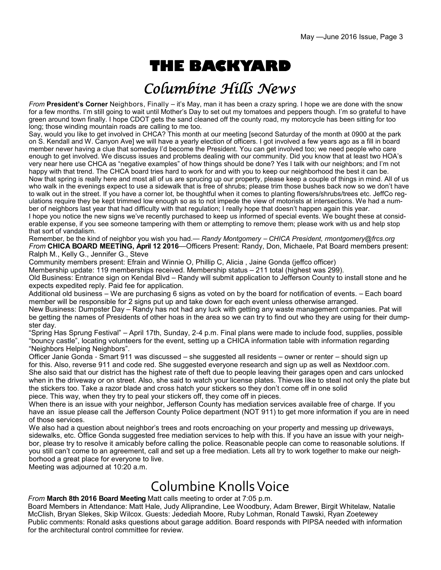# **THE BACKYARD**

## Columbine Hills News

*From* **President's Corner** Neighbors, Finally – it's May, man it has been a crazy spring. I hope we are done with the snow for a few months. I'm still going to wait until Mother's Day to set out my tomatoes and peppers though. I'm so grateful to have green around town finally. I hope CDOT gets the sand cleaned off the county road, my motorcycle has been sitting for too long; those winding mountain roads are calling to me too.

Say, would you like to get involved in CHCA? This month at our meeting [second Saturday of the month at 0900 at the park on S. Kendall and W. Canyon Ave] we will have a yearly election of officers. I got involved a few years ago as a fill in board member never having a clue that someday I'd become the President. You can get involved too; we need people who care enough to get involved. We discuss issues and problems dealing with our community. Did you know that at least two HOA's very near here use CHCA as "negative examples" of how things should be done? Yes I talk with our neighbors; and I'm not happy with that trend. The CHCA board tries hard to work for and with you to keep our neighborhood the best it can be. Now that spring is really here and most all of us are sprucing up our property, please keep a couple of things in mind. All of us who walk in the evenings expect to use a sidewalk that is free of shrubs; please trim those bushes back now so we don't have to walk out in the street. If you have a corner lot, be thoughtful when it comes to planting flowers/shrubs/trees etc. JeffCo regulations require they be kept trimmed low enough so as to not impede the view of motorists at intersections. We had a number of neighbors last year that had difficulty with that regulation; I really hope that doesn't happen again this year. I hope you notice the new signs we've recently purchased to keep us informed of special events. We bought these at considerable expense, if you see someone tampering with them or attempting to remove them; please work with us and help stop that sort of vandalism.

Remember, be the kind of neighbor you wish you had.— *Randy Montgomery* – *CHICA President, rmontgomery@frcs.org From* **CHICA BOARD MEETING, April 12 2016**—Officers Present: Randy, Don, Michaele, Pat Board members present: Ralph M., Kelly G., Jennifer G., Steve

Community members present: Efrain and Winnie O, Phillip C, Alicia , Jaine Gonda (jeffco officer)

Membership update: 119 memberships received. Membership status – 211 total (highest was 299).

Old Business: Entrance sign on Kendal Blvd – Randy will submit application to Jefferson County to install stone and he expects expedited reply. Paid fee for application.

Additional old business – We are purchasing 6 signs as voted on by the board for notification of events. – Each board member will be responsible for 2 signs put up and take down for each event unless otherwise arranged.

New Business: Dumpster Day – Randy has not had any luck with getting any waste management companies. Pat will be getting the names of Presidents of other hoas in the area so we can try to find out who they are using for their dumpster day.

"Spring Has Sprung Festival" – April 17th, Sunday, 2-4 p.m. Final plans were made to include food, supplies, possible "bouncy castle", locating volunteers for the event, setting up a CHICA information table with information regarding "Neighbors Helping Neighbors".

Officer Janie Gonda - Smart 911 was discussed – she suggested all residents – owner or renter – should sign up for this. Also, reverse 911 and code red. She suggested everyone research and sign up as well as Nextdoor.com. She also said that our district has the highest rate of theft due to people leaving their garages open and cars unlocked when in the driveway or on street. Also, she said to watch your license plates. Thieves like to steal not only the plate but the stickers too. Take a razor blade and cross hatch your stickers so they don't come off in one solid piece. This way, when they try to peal your stickers off, they come off in pieces.

When there is an issue with your neighbor, Jefferson County has mediation services available free of charge. If you have an issue please call the Jefferson County Police department (NOT 911) to get more information if you are in need of those services.

We also had a question about neighbor's trees and roots encroaching on your property and messing up driveways, sidewalks, etc. Office Gonda suggested free mediation services to help with this. If you have an issue with your neighbor, please try to resolve it amicably before calling the police. Reasonable people can come to reasonable solutions. If you still can't come to an agreement, call and set up a free mediation. Lets all try to work together to make our neighborhood a great place for everyone to live.

Meeting was adjourned at 10:20 a.m.

## Columbine Knolls Voice

### *From* **March 8th 2016 Board Meeting** Matt calls meeting to order at 7:05 p.m.

Board Members in Attendance: Matt Hale, Judy Alliprandine, Lee Woodbury, Adam Brewer, Birgit Whitelaw, Natalie McClish, Bryan Slekes, Skip Wilcox. Guests: Jedediah Moore, Ruby Lohman, Ronald Tawski, Ryan Zoetewey Public comments: Ronald asks questions about garage addition. Board responds with PIPSA needed with information for the architectural control committee for review.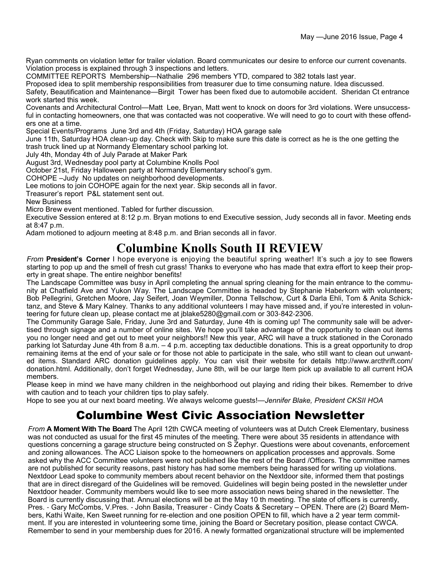Ryan comments on violation letter for trailer violation. Board communicates our desire to enforce our current covenants. Violation process is explained through 3 inspections and letters.

COMMITTEE REPORTS Membership—Nathalie 296 members YTD, compared to 382 totals last year.

Proposed idea to split membership responsibilities from treasurer due to time consuming nature. Idea discussed.

Safety, Beautification and Maintenance—Birgit Tower has been fixed due to automobile accident. Sheridan Ct entrance work started this week.

Covenants and Architectural Control—Matt Lee, Bryan, Matt went to knock on doors for 3rd violations. Were unsuccessful in contacting homeowners, one that was contacted was not cooperative. We will need to go to court with these offenders one at a time.

Special Events/Programs June 3rd and 4th (Friday, Saturday) HOA garage sale

June 11th, Saturday HOA clean-up day. Check with Skip to make sure this date is correct as he is the one getting the trash truck lined up at Normandy Elementary school parking lot.

July 4th, Monday 4th of July Parade at Maker Park

August 3rd, Wednesday pool party at Columbine Knolls Pool

October 21st, Friday Halloween party at Normandy Elementary school's gym.

COHOPE –Judy No updates on neighborhood developments.

Lee motions to join COHOPE again for the next year. Skip seconds all in favor.

Treasurer's report P&L statement sent out.

New Business

Micro Brew event mentioned. Tabled for further discussion.

Executive Session entered at 8:12 p.m. Bryan motions to end Executive session, Judy seconds all in favor. Meeting ends at 8:47 p.m.

Adam motioned to adjourn meeting at 8:48 p.m. and Brian seconds all in favor.

### **Columbine Knolls South II REVIEW**

*From* **President's Corner** I hope everyone is enjoying the beautiful spring weather! It's such a joy to see flowers starting to pop up and the smell of fresh cut grass! Thanks to everyone who has made that extra effort to keep their property in great shape. The entire neighbor benefits!

The Landscape Committee was busy in April completing the annual spring cleaning for the main entrance to the community at Chatfield Ave and Yukon Way. The Landscape Committee is headed by Stephanie Haberkorn with volunteers; Bob Pellegrini, Gretchen Moore, Jay Seifert, Joan Weymiller, Donna Tellschow, Curt & Darla Ehli, Tom & Anita Schicktanz, and Steve & Mary Kalney. Thanks to any additional volunteers I may have missed and, if you're interested in volunteering for future clean up, please contact me at jblake5280@gmail.com or 303-842-2306.

The Community Garage Sale, Friday, June 3rd and Saturday, June 4th is coming up! The community sale will be advertised through signage and a number of online sites. We hope you'll take advantage of the opportunity to clean out items you no longer need and get out to meet your neighbors!! New this year, ARC will have a truck stationed in the Coronado parking lot Saturday June 4th from 8 a.m. – 4 p.m. accepting tax deductible donations. This is a great opportunity to drop remaining items at the end of your sale or for those not able to participate in the sale, who still want to clean out unwanted items. Standard ARC donation guidelines apply. You can visit their website for details http://www.arcthrift.com/ donation.html. Additionally, don't forget Wednesday, June 8th, will be our large Item pick up available to all current HOA members.

Please keep in mind we have many children in the neighborhood out playing and riding their bikes. Remember to drive with caution and to teach your children tips to play safely.

Hope to see you at our next board meeting. We always welcome guests!—*Jennifer Blake, President CKSII HOA*

### Columbine West Civic Association Newsletter

*From* **A Moment With The Board** The April 12th CWCA meeting of volunteers was at Dutch Creek Elementary, business was not conducted as usual for the first 45 minutes of the meeting. There were about 35 residents in attendance with questions concerning a garage structure being constructed on S Zephyr. Questions were about covenants, enforcement and zoning allowances. The ACC Liaison spoke to the homeowners on application processes and approvals. Some asked why the ACC Committee volunteers were not published like the rest of the Board /Officers. The committee names are not published for security reasons, past history has had some members being harassed for writing up violations. Nextdoor Lead spoke to community members about recent behavior on the Nextdoor site, informed them that postings that are in direct disregard of the Guidelines will be removed. Guidelines will begin being posted in the newsletter under Nextdoor header. Community members would like to see more association news being shared in the newsletter. The Board is currently discussing that. Annual elections will be at the May 10 th meeting. The slate of officers is currently, Pres. - Gary McCombs, V.Pres. - John Basila, Treasurer - Cindy Coats & Secretary – OPEN. There are (2) Board Members, Kathi Waite, Ken Sweet running for re-election and one position OPEN to fill, which have a 2 year term commitment. If you are interested in volunteering some time, joining the Board or Secretary position, please contact CWCA. Remember to send in your membership dues for 2016. A newly formatted organizational structure will be implemented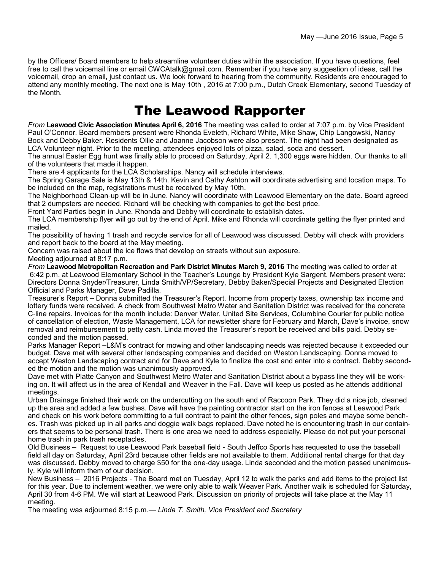by the Officers/ Board members to help streamline volunteer duties within the association. If you have questions, feel free to call the voicemail line or email CWCAtalk@gmail.com. Remember if you have any suggestion of ideas, call the voicemail, drop an email, just contact us. We look forward to hearing from the community. Residents are encouraged to attend any monthly meeting. The next one is May 10th , 2016 at 7:00 p.m., Dutch Creek Elementary, second Tuesday of the Month.

## The Leawood Rapporter

*From* **Leawood Civic Association Minutes April 6, 2016** The meeting was called to order at 7:07 p.m. by Vice President Paul O'Connor. Board members present were Rhonda Eveleth, Richard White, Mike Shaw, Chip Langowski, Nancy Bock and Debby Baker. Residents Ollie and Joanne Jacobson were also present. The night had been designated as LCA Volunteer night. Prior to the meeting, attendees enjoyed lots of pizza, salad, soda and dessert.

The annual Easter Egg hunt was finally able to proceed on Saturday, April 2. 1,300 eggs were hidden. Our thanks to all of the volunteers that made it happen.

There are 4 applicants for the LCA Scholarships. Nancy will schedule interviews.

The Spring Garage Sale is May 13th & 14th. Kevin and Cathy Ashton will coordinate advertising and location maps. To be included on the map, registrations must be received by May 10th.

The Neighborhood Clean-up will be in June. Nancy will coordinate with Leawood Elementary on the date. Board agreed that 2 dumpsters are needed. Richard will be checking with companies to get the best price.

Front Yard Parties begin in June. Rhonda and Debby will coordinate to establish dates.

The LCA membership flyer will go out by the end of April. Mike and Rhonda will coordinate getting the flyer printed and mailed.

The possibility of having 1 trash and recycle service for all of Leawood was discussed. Debby will check with providers and report back to the board at the May meeting.

Concern was raised about the ice flows that develop on streets without sun exposure.

Meeting adjourned at 8:17 p.m.

*From* **Leawood Metropolitan Recreation and Park District Minutes March 9, 2016** The meeting was called to order at 6:42 p.m. at Leawood Elementary School in the Teacher's Lounge by President Kyle Sargent. Members present were: Directors Donna Snyder/Treasurer, Linda Smith/VP/Secretary, Debby Baker/Special Projects and Designated Election Official and Parks Manager, Dave Padilla.

Treasurer's Report – Donna submitted the Treasurer's Report. Income from property taxes, ownership tax income and lottery funds were received. A check from Southwest Metro Water and Sanitation District was received for the concrete C-line repairs. Invoices for the month include: Denver Water, United Site Services, Columbine Courier for public notice of cancellation of election, Waste Management, LCA for newsletter share for February and March, Dave's invoice, snow removal and reimbursement to petty cash. Linda moved the Treasurer's report be received and bills paid. Debby seconded and the motion passed.

Parks Manager Report –L&M's contract for mowing and other landscaping needs was rejected because it exceeded our budget. Dave met with several other landscaping companies and decided on Weston Landscaping. Donna moved to accept Weston Landscaping contract and for Dave and Kyle to finalize the cost and enter into a contract. Debby seconded the motion and the motion was unanimously approved.

Dave met with Platte Canyon and Southwest Metro Water and Sanitation District about a bypass line they will be working on. It will affect us in the area of Kendall and Weaver in the Fall. Dave will keep us posted as he attends additional meetings.

Urban Drainage finished their work on the undercutting on the south end of Raccoon Park. They did a nice job, cleaned up the area and added a few bushes. Dave will have the painting contractor start on the iron fences at Leawood Park and check on his work before committing to a full contract to paint the other fences, sign poles and maybe some benches. Trash was picked up in all parks and doggie walk bags replaced. Dave noted he is encountering trash in our containers that seems to be personal trash. There is one area we need to address especially. Please do not put your personal home trash in park trash receptacles.

Old Business – Request to use Leawood Park baseball field - South Jeffco Sports has requested to use the baseball field all day on Saturday, April 23rd because other fields are not available to them. Additional rental charge for that day was discussed. Debby moved to charge \$50 for the one-day usage. Linda seconded and the motion passed unanimously. Kyle will inform them of our decision.

New Business – 2016 Projects - The Board met on Tuesday, April 12 to walk the parks and add items to the project list for this year. Due to inclement weather, we were only able to walk Weaver Park. Another walk is scheduled for Saturday, April 30 from 4-6 PM. We will start at Leawood Park. Discussion on priority of projects will take place at the May 11 meeting.

The meeting was adjourned 8:15 p.m.— *Linda T. Smith, Vice President and Secretary*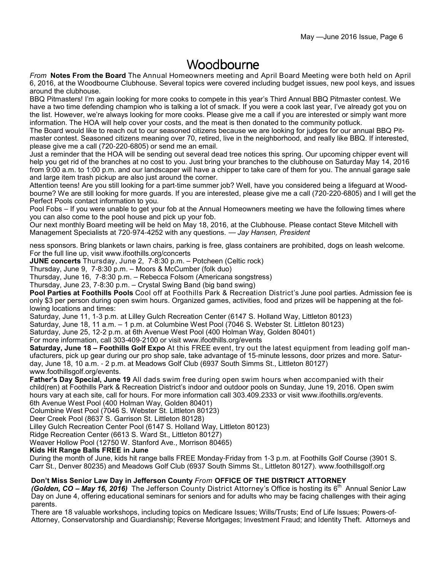### Woodbourne

*From* **Notes From the Board** The Annual Homeowners meeting and April Board Meeting were both held on April 6, 2016, at the Woodbourne Clubhouse. Several topics were covered including budget issues, new pool keys, and issues around the clubhouse.

BBQ Pitmasters! I'm again looking for more cooks to compete in this year's Third Annual BBQ Pitmaster contest. We have a two time defending champion who is talking a lot of smack. If you were a cook last year, I've already got you on the list. However, we're always looking for more cooks. Please give me a call if you are interested or simply want more information. The HOA will help cover your costs, and the meat is then donated to the community potluck.

The Board would like to reach out to our seasoned citizens because we are looking for judges for our annual BBQ Pitmaster contest. Seasoned citizens meaning over 70, retired, live in the neighborhood, and really like BBQ. If interested, please give me a call (720-220-6805) or send me an email.

Just a reminder that the HOA will be sending out several dead tree notices this spring. Our upcoming chipper event will help you get rid of the branches at no cost to you. Just bring your branches to the clubhouse on Saturday May 14, 2016 from 9:00 a.m. to 1:00 p.m. and our landscaper will have a chipper to take care of them for you. The annual garage sale and large item trash pickup are also just around the corner.

Attention teens! Are you still looking for a part-time summer job? Well, have you considered being a lifeguard at Woodbourne? We are still looking for more guards. If you are interested, please give me a call (720-220-6805) and I will get the Perfect Pools contact information to you.

Pool Fobs – If you were unable to get your fob at the Annual Homeowners meeting we have the following times where you can also come to the pool house and pick up your fob.

Our next monthly Board meeting will be held on May 18, 2016, at the Clubhouse. Please contact Steve Mitchell with Management Specialists at 720-974-4252 with any questions. — *Jay Hansen, President*

ness sponsors. Bring blankets or lawn chairs, parking is free, glass containers are prohibited, dogs on leash welcome. For the full line up, visit www.ifoothills.org/concerts

**JUNE concerts** Thursday, June 2, 7-8:30 p.m. – Potcheen (Celtic rock)

Thursday, June 9, 7-8:30 p.m. – Moors & McCumber (folk duo)

Thursday, June 16, 7-8:30 p.m. – Rebecca Folsom (Americana songstress)

Thursday, June 23, 7-8:30 p.m. – Crystal Swing Band (big band swing)

**Pool Parties at Foothills Pools** Cool off at Foothills Park & Recreation District's June pool parties. Admission fee is only \$3 per person during open swim hours. Organized games, activities, food and prizes will be happening at the following locations and times:

Saturday, June 11, 1-3 p.m. at Lilley Gulch Recreation Center (6147 S. Holland Way, Littleton 80123)

Saturday, June 18, 11 a.m. – 1 p.m. at Columbine West Pool (7046 S. Webster St. Littleton 80123)

Saturday, June 25, 12-2 p.m. at 6th Avenue West Pool (400 Holman Way, Golden 80401)

For more information, call 303-409-2100 or visit www.ifoothills.org/events

**Saturday, June 18 – Foothills Golf Expo** At this FREE event, try out the latest equipment from leading golf manufacturers, pick up gear during our pro shop sale, take advantage of 15-minute lessons, door prizes and more. Saturday, June 18, 10 a.m. - 2 p.m. at Meadows Golf Club (6937 South Simms St., Littleton 80127) www.foothillsgolf.org/events.

**Father's Day Special, June 19** All dads swim free during open swim hours when accompanied with their child(ren) at Foothills Park & Recreation District's indoor and outdoor pools on Sunday, June 19, 2016. Open swim hours vary at each site, call for hours. For more information call 303.409.2333 or visit www.ifoothills.org/events. 6th Avenue West Pool (400 Holman Way, Golden 80401)

Columbine West Pool (7046 S. Webster St. Littleton 80123)

Deer Creek Pool (8637 S. Garrison St. Littleton 80128)

Lilley Gulch Recreation Center Pool (6147 S. Holland Way, Littleton 80123)

Ridge Recreation Center (6613 S. Ward St., Littleton 80127)

Weaver Hollow Pool (12750 W. Stanford Ave., Morrison 80465)

#### **Kids Hit Range Balls FREE in June**

During the month of June, kids hit range balls FREE Monday-Friday from 1-3 p.m. at Foothills Golf Course (3901 S. Carr St., Denver 80235) and Meadows Golf Club (6937 South Simms St., Littleton 80127). www.foothillsgolf.org

#### **Don't Miss Senior Law Day in Jefferson County** *From* **OFFICE OF THE DISTRICT ATTORNEY**

*(Golden, CO – May 16, 2016)* The Jefferson County District Attorney's Office is hosting its 6<sup>th</sup> Annual Senior Law Day on June 4, offering educational seminars for seniors and for adults who may be facing challenges with their aging parents.

There are 18 valuable workshops, including topics on Medicare Issues; Wills/Trusts; End of Life Issues; Powers-of-Attorney, Conservatorship and Guardianship; Reverse Mortgages; Investment Fraud; and Identity Theft. Attorneys and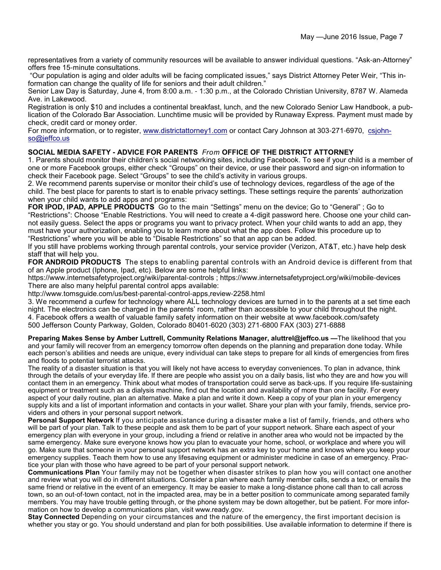representatives from a variety of community resources will be available to answer individual questions. "Ask-an-Attorney" offers free 15-minute consultations.

 "Our population is aging and older adults will be facing complicated issues," says District Attorney Peter Weir, "This information can change the quality of life for seniors and their adult children."

Senior Law Day is Saturday, June 4, from 8:00 a.m. - 1:30 p.m., at the Colorado Christian University, 8787 W. Alameda Ave. in Lakewood.

Registration is only \$10 and includes a continental breakfast, lunch, and the new Colorado Senior Law Handbook, a publication of the Colorado Bar Association. Lunchtime music will be provided by Runaway Express. Payment must made by check, credit card or money order.

For more information, or to register, www.districtattorney1.com or contact Cary Johnson at 303-271-6970, csjohnso@jeffco.us

### **SOCIAL MEDIA SAFETY - ADVICE FOR PARENTS** *From* **OFFICE OF THE DISTRICT ATTORNEY**

1. Parents should monitor their children's social networking sites, including Facebook. To see if your child is a member of one or more Facebook groups, either check "Groups" on their device, or use their password and sign-on information to check their Facebook page. Select "Groups" to see the child's activity in various groups.

2. We recommend parents supervise or monitor their child's use of technology devices, regardless of the age of the child. The best place for parents to start is to enable privacy settings. These settings require the parents' authorization when your child wants to add apps and programs:

**FOR IPOD, IPAD, APPLE PRODUCTS** Go to the main "Settings" menu on the device; Go to "General" ; Go to "Restrictions": Choose "Enable Restrictions. You will need to create a 4-digit password here. Choose one your child cannot easily guess. Select the apps or programs you want to privacy protect. When your child wants to add an app, they must have your authorization, enabling you to learn more about what the app does. Follow this procedure up to "Restrictions" where you will be able to "Disable Restrictions" so that an app can be added.

If you still have problems working through parental controls, your service provider (Verizon, AT&T, etc.) have help desk staff that will help you.

**FOR ANDROID PRODUCTS** The steps to enabling parental controls with an Android device is different from that of an Apple product (Iphone, Ipad, etc). Below are some helpful links:

https://www.internetsafetyproject.org/wiki/parental-controls ; https://www.internetsafetyproject.org/wiki/mobile-devices There are also many helpful parental control apps available:

http://www.tomsguide.com/us/best-parental-control-apps,review-2258.html

3. We recommend a curfew for technology where ALL technology devices are turned in to the parents at a set time each night. The electronics can be charged in the parents' room, rather than accessible to your child throughout the night. 4. Facebook offers a wealth of valuable family safety information on their website at www.facebook.com/safety 500 Jefferson County Parkway, Golden, Colorado 80401-6020 (303) 271-6800 FAX (303) 271-6888

**Preparing Makes Sense by Amber Luttrell, Community Relations Manager, aluttrel@jeffco.us —**The likelihood that you and your family will recover from an emergency tomorrow often depends on the planning and preparation done today. While each person's abilities and needs are unique, every individual can take steps to prepare for all kinds of emergencies from fires and floods to potential terrorist attacks.

The reality of a disaster situation is that you will likely not have access to everyday conveniences. To plan in advance, think through the details of your everyday life. If there are people who assist you on a daily basis, list who they are and how you will contact them in an emergency. Think about what modes of transportation could serve as back-ups. If you require life-sustaining equipment or treatment such as a dialysis machine, find out the location and availability of more than one facility. For every aspect of your daily routine, plan an alternative. Make a plan and write it down. Keep a copy of your plan in your emergency supply kits and a list of important information and contacts in your wallet. Share your plan with your family, friends, service providers and others in your personal support network.

**Personal Support Network** If you anticipate assistance during a disaster make a list of family, friends, and others who will be part of your plan. Talk to these people and ask them to be part of your support network. Share each aspect of your emergency plan with everyone in your group, including a friend or relative in another area who would not be impacted by the same emergency. Make sure everyone knows how you plan to evacuate your home, school, or workplace and where you will go. Make sure that someone in your personal support network has an extra key to your home and knows where you keep your emergency supplies. Teach them how to use any lifesaving equipment or administer medicine in case of an emergency. Practice your plan with those who have agreed to be part of your personal support network.

**Communications Plan** Your family may not be together when disaster strikes to plan how you will contact one another and review what you will do in different situations. Consider a plan where each family member calls, sends a text, or emails the same friend or relative in the event of an emergency. It may be easier to make a long-distance phone call than to call across town, so an out-of-town contact, not in the impacted area, may be in a better position to communicate among separated family members. You may have trouble getting through, or the phone system may be down altogether, but be patient. For more information on how to develop a communications plan, visit www.ready.gov.

**Stay Connected** Depending on your circumstances and the nature of the emergency, the first important decision is whether you stay or go. You should understand and plan for both possibilities. Use available information to determine if there is